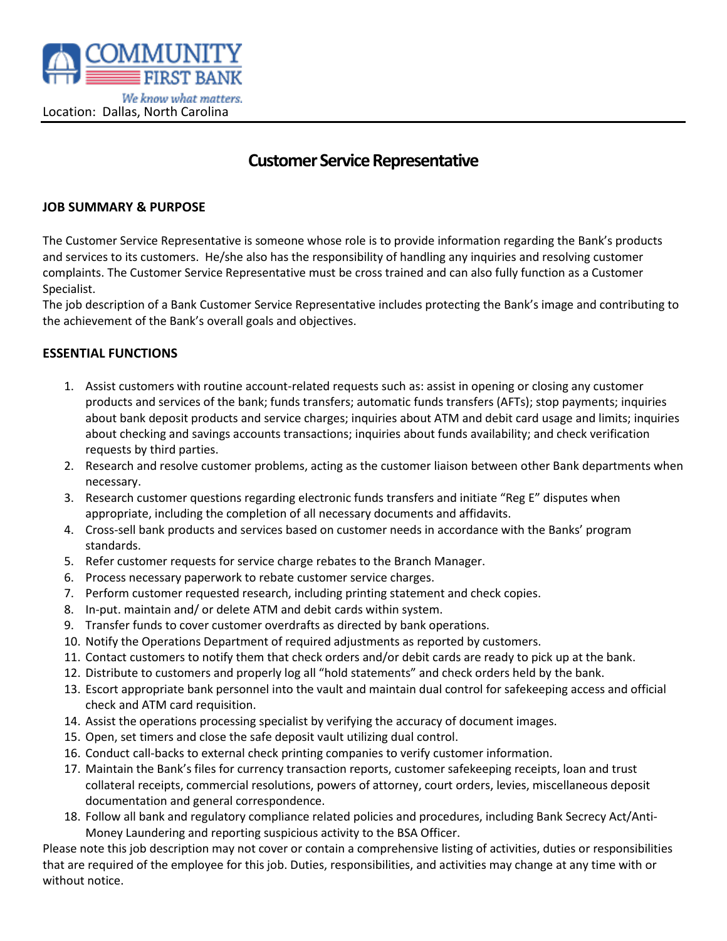

# **Customer Service Representative**

### **JOB SUMMARY & PURPOSE**

The Customer Service Representative is someone whose role is to provide information regarding the Bank's products and services to its customers. He/she also has the responsibility of handling any inquiries and resolving customer complaints. The Customer Service Representative must be cross trained and can also fully function as a Customer Specialist.

The job description of a Bank Customer Service Representative includes protecting the Bank's image and contributing to the achievement of the Bank's overall goals and objectives.

#### **ESSENTIAL FUNCTIONS**

- 1. Assist customers with routine account-related requests such as: assist in opening or closing any customer products and services of the bank; funds transfers; automatic funds transfers (AFTs); stop payments; inquiries about bank deposit products and service charges; inquiries about ATM and debit card usage and limits; inquiries about checking and savings accounts transactions; inquiries about funds availability; and check verification requests by third parties.
- 2. Research and resolve customer problems, acting as the customer liaison between other Bank departments when necessary.
- 3. Research customer questions regarding electronic funds transfers and initiate "Reg E" disputes when appropriate, including the completion of all necessary documents and affidavits.
- 4. Cross-sell bank products and services based on customer needs in accordance with the Banks' program standards.
- 5. Refer customer requests for service charge rebates to the Branch Manager.
- 6. Process necessary paperwork to rebate customer service charges.
- 7. Perform customer requested research, including printing statement and check copies.
- 8. In-put. maintain and/ or delete ATM and debit cards within system.
- 9. Transfer funds to cover customer overdrafts as directed by bank operations.
- 10. Notify the Operations Department of required adjustments as reported by customers.
- 11. Contact customers to notify them that check orders and/or debit cards are ready to pick up at the bank.
- 12. Distribute to customers and properly log all "hold statements" and check orders held by the bank.
- 13. Escort appropriate bank personnel into the vault and maintain dual control for safekeeping access and official check and ATM card requisition.
- 14. Assist the operations processing specialist by verifying the accuracy of document images.
- 15. Open, set timers and close the safe deposit vault utilizing dual control.
- 16. Conduct call-backs to external check printing companies to verify customer information.
- 17. Maintain the Bank's files for currency transaction reports, customer safekeeping receipts, loan and trust collateral receipts, commercial resolutions, powers of attorney, court orders, levies, miscellaneous deposit documentation and general correspondence.
- 18. Follow all bank and regulatory compliance related policies and procedures, including Bank Secrecy Act/Anti-Money Laundering and reporting suspicious activity to the BSA Officer.

Please note this job description may not cover or contain a comprehensive listing of activities, duties or responsibilities that are required of the employee for this job. Duties, responsibilities, and activities may change at any time with or without notice.